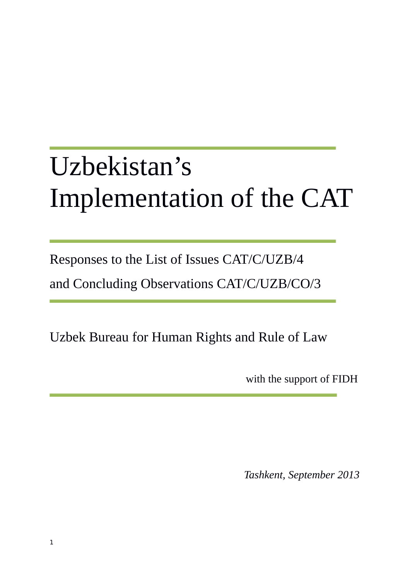# Uzbekistan's Implementation of the CAT

Responses to the List of Issues CAT/C/UZB/4

and Concluding Observations CAT/C/UZB/CO/3

Uzbek Bureau for Human Rights and Rule of Law

with the support of FIDH

*Tashkent, September 2013*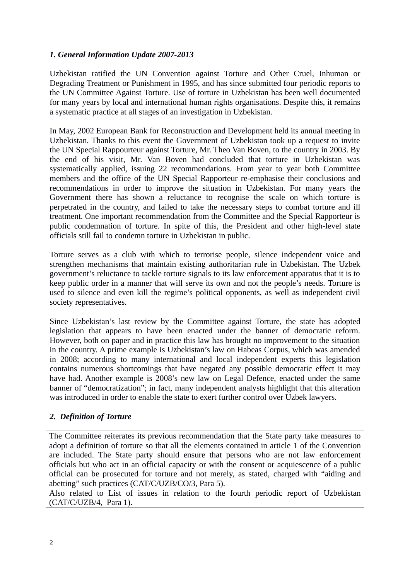## *1. General Information Update 2007-2013*

Uzbekistan ratified the UN Convention against Torture and Other Cruel, Inhuman or Degrading Treatment or Punishment in 1995, and has since submitted four periodic reports to the UN Committee Against Torture. Use of torture in Uzbekistan has been well documented for many years by local and international human rights organisations. Despite this, it remains a systematic practice at all stages of an investigation in Uzbekistan.

In May, 2002 European Bank for Reconstruction and Development held its annual meeting in Uzbekistan. Thanks to this event the Government of Uzbekistan took up a request to invite the UN Special Rappourteur against Torture, Mr. Theo Van Boven, to the country in 2003. By the end of his visit, Mr. Van Boven had concluded that torture in Uzbekistan was systematically applied, issuing 22 recommendations. From year to year both Committee members and the office of the UN Special Rapporteur re-emphasise their conclusions and recommendations in order to improve the situation in Uzbekistan. For many years the Government there has shown a reluctance to recognise the scale on which torture is perpetrated in the country, and failed to take the necessary steps to combat torture and ill treatment. One important recommendation from the Committee and the Special Rapporteur is public condemnation of torture. In spite of this, the President and other high-level state officials still fail to condemn torture in Uzbekistan in public.

Torture serves as a club with which to terrorise people, silence independent voice and strengthen mechanisms that maintain existing authoritarian rule in Uzbekistan. The Uzbek government's reluctance to tackle torture signals to its law enforcement apparatus that it is to keep public order in a manner that will serve its own and not the people's needs. Torture is used to silence and even kill the regime's political opponents, as well as independent civil society representatives.

Since Uzbekistan's last review by the Committee against Torture, the state has adopted legislation that appears to have been enacted under the banner of democratic reform. However, both on paper and in practice this law has brought no improvement to the situation in the country. A prime example is Uzbekistan's law on Habeas Corpus, which was amended in 2008; according to many international and local independent experts this legislation contains numerous shortcomings that have negated any possible democratic effect it may have had. Another example is 2008's new law on Legal Defence, enacted under the same banner of "democratization"; in fact, many independent analysts highlight that this alteration was introduced in order to enable the state to exert further control over Uzbek lawyers.

## *2. Definition of Torture*

The Committee reiterates its previous recommendation that the State party take measures to adopt a definition of torture so that all the elements contained in article 1 of the Convention are included. The State party should ensure that persons who are not law enforcement officials but who act in an official capacity or with the consent or acquiescence of a public official can be prosecuted for torture and not merely, as stated, charged with "aiding and abetting" such practices (CAT/C/UZB/CO/3, Para 5).

Also related to List of issues in relation to the fourth periodic report of Uzbekistan (CAT/C/UZB/4, Para 1).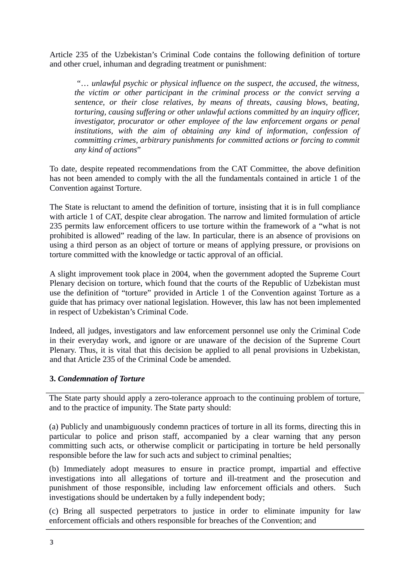Article 235 of the Uzbekistan's Criminal Code contains the following definition of torture and other cruel, inhuman and degrading treatment or punishment:

 "… *unlawful psychic or physical influence on the suspect, the accused, the witness, the victim or other participant in the criminal process or the convict serving a sentence, or their close relatives, by means of threats, causing blows, beating, torturing, causing suffering or other unlawful actions committed by an inquiry officer, investigator, procurator or other employee of the law enforcement organs or penal institutions, with the aim of obtaining any kind of information, confession of committing crimes, arbitrary punishments for committed actions or forcing to commit any kind of actions*"

To date, despite repeated recommendations from the CAT Committee, the above definition has not been amended to comply with the all the fundamentals contained in article 1 of the Convention against Torture.

The State is reluctant to amend the definition of torture, insisting that it is in full compliance with article 1 of CAT, despite clear abrogation. The narrow and limited formulation of article 235 permits law enforcement officers to use torture within the framework of a "what is not prohibited is allowed" reading of the law. In particular, there is an absence of provisions on using a third person as an object of torture or means of applying pressure, or provisions on torture committed with the knowledge or tactic approval of an official.

A slight improvement took place in 2004, when the government adopted the Supreme Court Plenary decision on torture, which found that the courts of the Republic of Uzbekistan must use the definition of "torture" provided in Article 1 of the Convention against Torture as a guide that has primacy over national legislation. However, this law has not been implemented in respect of Uzbekistan's Criminal Code.

Indeed, all judges, investigators and law enforcement personnel use only the Criminal Code in their everyday work, and ignore or are unaware of the decision of the Supreme Court Plenary. Thus, it is vital that this decision be applied to all penal provisions in Uzbekistan, and that Article 235 of the Criminal Code be amended.

## **3.** *Condemnation of Torture*

The State party should apply a zero-tolerance approach to the continuing problem of torture, and to the practice of impunity. The State party should:

(a) Publicly and unambiguously condemn practices of torture in all its forms, directing this in particular to police and prison staff, accompanied by a clear warning that any person committing such acts, or otherwise complicit or participating in torture be held personally responsible before the law for such acts and subject to criminal penalties;

(b) Immediately adopt measures to ensure in practice prompt, impartial and effective investigations into all allegations of torture and ill-treatment and the prosecution and punishment of those responsible, including law enforcement officials and others. Such investigations should be undertaken by a fully independent body;

(c) Bring all suspected perpetrators to justice in order to eliminate impunity for law enforcement officials and others responsible for breaches of the Convention; and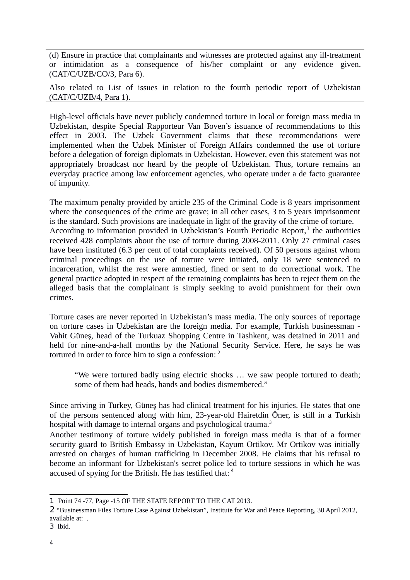(d) Ensure in practice that complainants and witnesses are protected against any ill-treatment or intimidation as a consequence of his/her complaint or any evidence given. (CAT/C/UZB/CO/3, Para 6).

Also related to List of issues in relation to the fourth periodic report of Uzbekistan (CAT/C/UZB/4, Para 1).

High-level officials have never publicly condemned torture in local or foreign mass media in Uzbekistan, despite Special Rapporteur Van Boven's issuance of recommendations to this effect in 2003. The Uzbek Government claims that these recommendations were implemented when the Uzbek Minister of Foreign Affairs condemned the use of torture before a delegation of foreign diplomats in Uzbekistan. However, even this statement was not appropriately broadcast nor heard by the people of Uzbekistan. Thus, torture remains an everyday practice among law enforcement agencies, who operate under a de facto guarantee of impunity.

The maximum penalty provided by article 235 of the Criminal Code is 8 years imprisonment where the consequences of the crime are grave; in all other cases, 3 to 5 years imprisonment is the standard. Such provisions are inadequate in light of the gravity of the crime of torture. According to information provided in Uzbekistan's Fourth Periodic Report,<sup>[1](#page-3-0)</sup> the authorities received 428 complaints about the use of torture during 2008-2011. Only 27 criminal cases have been instituted (6.3 per cent of total complaints received). Of 50 persons against whom criminal proceedings on the use of torture were initiated, only 18 were sentenced to incarceration, whilst the rest were amnestied, fined or sent to do correctional work. The general practice adopted in respect of the remaining complaints has been to reject them on the alleged basis that the complainant is simply seeking to avoid punishment for their own crimes.

Torture cases are never reported in Uzbekistan's mass media. The only sources of reportage on torture cases in Uzbekistan are the foreign media. For example, Turkish businessman - Vahit Güneş, head of the Turkuaz Shopping Centre in Tashkent, was detained in 2011 and held for nine-and-a-half months by the National Security Service. Here, he says he was tortured in order to force him to sign a confession: <sup>[2](#page-3-1)</sup>

"We were tortured badly using electric shocks … we saw people tortured to death; some of them had heads, hands and bodies dismembered."

Since arriving in Turkey, Güneş has had clinical treatment for his injuries. He states that one of the persons sentenced along with him, 23-year-old Hairetdin Öner, is still in a Turkish hospital with damage to internal organs and psychological trauma.<sup>[3](#page-3-2)</sup>

Another testimony of torture widely published in foreign mass media is that of a former security guard to British Embassy in Uzbekistan, Kayum Ortikov. Mr Ortikov was initially arrested on charges of human trafficking in December 2008. He claims that his refusal to become an informant for Uzbekistan's secret police led to torture sessions in which he was accused of spying for the British. He has testified that: <sup>4</sup>

<span id="page-3-0"></span><sup>1</sup> Point 74 -77, Page -15 OF THE STATE REPORT TO THE CAT 2013.

<span id="page-3-1"></span><sup>2</sup> "Businessman Files Torture Case Against Uzbekistan", Institute for War and Peace Reporting, 30 April 2012, available at: .

<span id="page-3-2"></span><sup>3</sup> Ibid.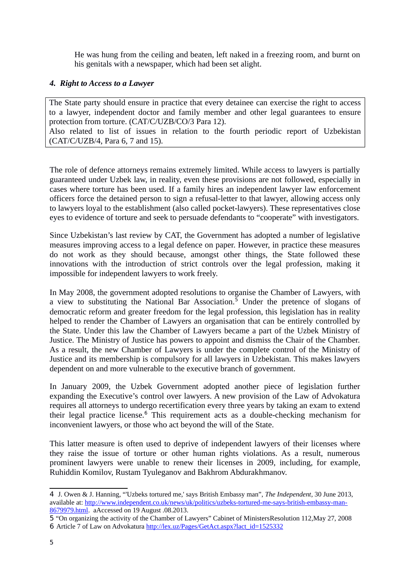He was hung from the ceiling and beaten, left naked in a freezing room, and burnt on his genitals with a newspaper, which had been set alight.

## *4. Right to Access to a Lawyer*

The State party should ensure in practice that every detainee can exercise the right to access to a lawyer, independent doctor and family member and other legal guarantees to ensure protection from torture. (CAT/C/UZB/CO/3 Para 12).

Also related to list of issues in relation to the fourth periodic report of Uzbekistan (CAT/C/UZB/4, Para 6, 7 and 15).

The role of defence attorneys remains extremely limited. While access to lawyers is partially guaranteed under Uzbek law, in reality, even these provisions are not followed, especially in cases where torture has been used. If a family hires an independent lawyer law enforcement officers force the detained person to sign a refusal-letter to that lawyer, allowing access only to lawyers loyal to the establishment (also called pocket-lawyers). These representatives close eyes to evidence of torture and seek to persuade defendants to "cooperate" with investigators.

Since Uzbekistan's last review by CAT, the Government has adopted a number of legislative measures improving access to a legal defence on paper. However, in practice these measures do not work as they should because, amongst other things, the State followed these innovations with the introduction of strict controls over the legal profession, making it impossible for independent lawyers to work freely.

In May 2008, the government adopted resolutions to organise the Chamber of Lawyers, with a view to substituting the National Bar Association.<sup>[5](#page-4-0)</sup> Under the pretence of slogans of democratic reform and greater freedom for the legal profession, this legislation has in reality helped to render the Chamber of Lawyers an organisation that can be entirely controlled by the State. Under this law the Chamber of Lawyers became a part of the Uzbek Ministry of Justice. The Ministry of Justice has powers to appoint and dismiss the Chair of the Chamber. As a result, the new Chamber of Lawyers is under the complete control of the Ministry of Justice and its membership is compulsory for all lawyers in Uzbekistan. This makes lawyers dependent on and more vulnerable to the executive branch of government.

In January 2009, the Uzbek Government adopted another piece of legislation further expanding the Executive's control over lawyers. A new provision of the Law of Advokatura requires all attorneys to undergo recertification every three years by taking an exam to extend their legal practice license.<sup>[6](#page-4-1)</sup> This requirement acts as a double-checking mechanism for inconvenient lawyers, or those who act beyond the will of the State.

This latter measure is often used to deprive of independent lawyers of their licenses where they raise the issue of torture or other human rights violations. As a result, numerous prominent lawyers were unable to renew their licenses in 2009, including, for example, Ruhiddin Komilov, Rustam Tyuleganov and Bakhrom Abdurakhmanov.

<span id="page-4-1"></span><span id="page-4-0"></span>5 "On organizing the activity of the Chamber of Lawyers" Cabinet of MinistersResolution 112,May 27, 2008 6 Article 7 of Law on Advokatura [http://lex.uz/Pages/GetAct.aspx?lact\\_id=1525332](http://lex.uz/Pages/GetAct.aspx?lact_id=1525332)

<sup>4</sup> J. Owen & J. Hanning, "'Uzbeks tortured me,' says British Embassy man", *The Independent*, 30 June 2013, available at: [http://www.independent.co.uk/news/uk/politics/uzbeks-tortured-me-says-british-embassy-man-](http://www.independent.co.uk/news/uk/politics/uzbeks-tortured-me-says-british-embassy-man-8679979.html)[8679979.html.](http://www.independent.co.uk/news/uk/politics/uzbeks-tortured-me-says-british-embassy-man-8679979.html) aAccessed on 19 August .08.2013.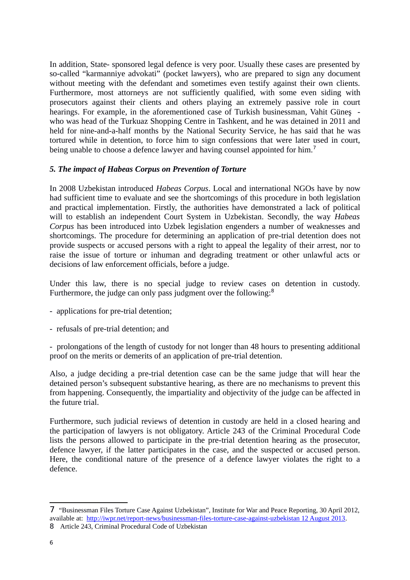In addition, State- sponsored legal defence is very poor. Usually these cases are presented by so-called "karmanniye advokati" (pocket lawyers), who are prepared to sign any document without meeting with the defendant and sometimes even testify against their own clients. Furthermore, most attorneys are not sufficiently qualified, with some even siding with prosecutors against their clients and others playing an extremely passive role in court hearings. For example, in the aforementioned case of Turkish businessman, Vahit Günes who was head of the Turkuaz Shopping Centre in Tashkent, and he was detained in 2011 and held for nine-and-a-half months by the National Security Service, he has said that he was tortured while in detention, to force him to sign confessions that were later used in court, being unable to choose a defence lawyer and having counsel appointed for him.<sup>[7](#page-5-0)</sup>

## *5. The impact of Habeas Corpus on Prevention of Torture*

In 2008 Uzbekistan introduced *Habeas Corpus*. Local and international NGOs have by now had sufficient time to evaluate and see the shortcomings of this procedure in both legislation and practical implementation. Firstly, the authorities have demonstrated a lack of political will to establish an independent Court System in Uzbekistan. Secondly, the way *Habeas Corpus* has been introduced into Uzbek legislation engenders a number of weaknesses and shortcomings. The procedure for determining an application of pre-trial detention does not provide suspects or accused persons with a right to appeal the legality of their arrest, nor to raise the issue of torture or inhuman and degrading treatment or other unlawful acts or decisions of law enforcement officials, before a judge.

Under this law, there is no special judge to review cases on detention in custody. Furthermore, the judge can only pass judgment over the following:<sup>[8](#page-5-1)</sup>

- applications for pre-trial detention;
- refusals of pre-trial detention; and
- prolongations of the length of custody for not longer than 48 hours to presenting additional proof on the merits or demerits of an application of pre-trial detention.

Also, a judge deciding a pre-trial detention case can be the same judge that will hear the detained person's subsequent substantive hearing, as there are no mechanisms to prevent this from happening. Consequently, the impartiality and objectivity of the judge can be affected in the future trial.

Furthermore, such judicial reviews of detention in custody are held in a closed hearing and the participation of lawyers is not obligatory. Article 243 of the Criminal Procedural Code lists the persons allowed to participate in the pre-trial detention hearing as the prosecutor, defence lawyer, if the latter participates in the case, and the suspected or accused person. Here, the conditional nature of the presence of a defence lawyer violates the right to a defence.

<span id="page-5-0"></span><sup>7</sup> "Businessman Files Torture Case Against Uzbekistan", Institute for War and Peace Reporting, 30 April 2012, available at: [http://iwpr.net/report-news/businessman-files-torture-case-against-uzbekistan 12 August 2013.](http://iwpr.net/report-news/businessman-files-torture-case-against-uzbekistan%2012%20August%202013)

<span id="page-5-1"></span><sup>8</sup> Article 243, Criminal Procedural Code of Uzbekistan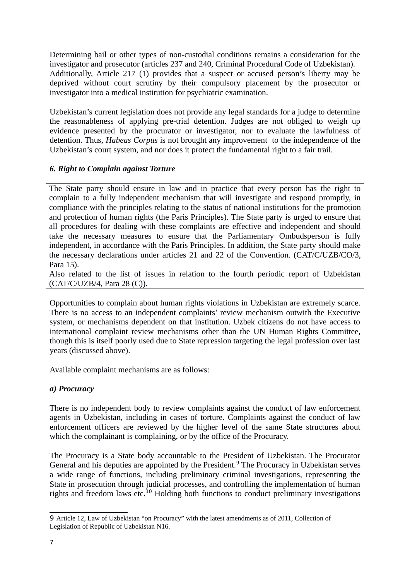Determining bail or other types of non-custodial conditions remains a consideration for the investigator and prosecutor (articles 237 and 240, Criminal Procedural Code of Uzbekistan). Additionally, Article 217 (1) provides that a suspect or accused person's liberty may be deprived without court scrutiny by their compulsory placement by the prosecutor or investigator into a medical institution for psychiatric examination.

Uzbekistan's current legislation does not provide any legal standards for a judge to determine the reasonableness of applying pre-trial detention. Judges are not obliged to weigh up evidence presented by the procurator or investigator, nor to evaluate the lawfulness of detention. Thus, *Habeas Corpus* is not brought any improvement to the independence of the Uzbekistan's court system, and nor does it protect the fundamental right to a fair trail.

## *6. Right to Complain against Torture*

The State party should ensure in law and in practice that every person has the right to complain to a fully independent mechanism that will investigate and respond promptly, in compliance with the principles relating to the status of national institutions for the promotion and protection of human rights (the Paris Principles). The State party is urged to ensure that all procedures for dealing with these complaints are effective and independent and should take the necessary measures to ensure that the Parliamentary Ombudsperson is fully independent, in accordance with the Paris Principles. In addition, the State party should make the necessary declarations under articles 21 and 22 of the Convention. (CAT/C/UZB/CO/3, Para 15).

Also related to the list of issues in relation to the fourth periodic report of Uzbekistan (CAT/C/UZB/4, Para 28 (C)).

Opportunities to complain about human rights violations in Uzbekistan are extremely scarce. There is no access to an independent complaints' review mechanism outwith the Executive system, or mechanisms dependent on that institution. Uzbek citizens do not have access to international complaint review mechanisms other than the UN Human Rights Committee, though this is itself poorly used due to State repression targeting the legal profession over last years (discussed above).

Available complaint mechanisms are as follows:

# *a) Procuracy*

There is no independent body to review complaints against the conduct of law enforcement agents in Uzbekistan, including in cases of torture. Complaints against the conduct of law enforcement officers are reviewed by the higher level of the same State structures about which the complainant is complaining, or by the office of the Procuracy.

The Procuracy is a State body accountable to the President of Uzbekistan. The Procurator General and his deputies are appointed by the President.<sup>[9](#page-6-0)</sup> The Procuracy in Uzbekistan serves a wide range of functions, including preliminary criminal investigations, representing the State in prosecution through judicial processes, and controlling the implementation of human rights and freedom laws etc.<sup>10</sup> Holding both functions to conduct preliminary investigations

<span id="page-6-0"></span><sup>9</sup> Article 12, Law of Uzbekistan "on Procuracy" with the latest amendments as of 2011, Collection of Legislation of Republic of Uzbekistan N16.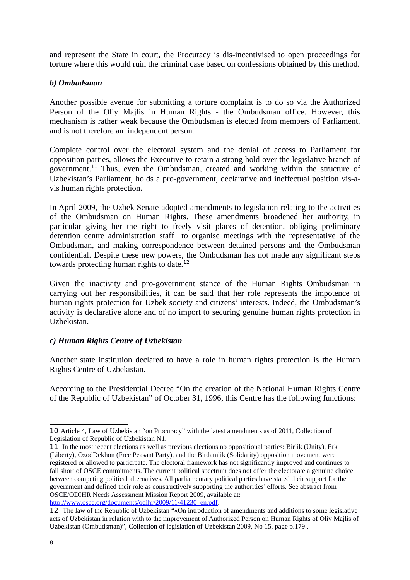and represent the State in court, the Procuracy is dis-incentivised to open proceedings for torture where this would ruin the criminal case based on confessions obtained by this method.

## *b) Ombudsman*

Another possible avenue for submitting a torture complaint is to do so via the Authorized Person of the Oliy Majlis in Human Rights - the Ombudsman office. However, this mechanism is rather weak because the Ombudsman is elected from members of Parliament, and is not therefore an independent person.

Complete control over the electoral system and the denial of access to Parliament for opposition parties, allows the Executive to retain a strong hold over the legislative branch of government.<sup>[11](#page-7-0)</sup> Thus, even the Ombudsman, created and working within the structure of Uzbekistan's Parliament, holds a pro-government, declarative and ineffectual position vis-avis human rights protection.

In April 2009, the Uzbek Senate adopted amendments to legislation relating to the activities of the Ombudsman on Human Rights. These amendments broadened her authority, in particular giving her the right to freely visit places of detention, obliging preliminary detention centre administration staff to organise meetings with the representative of the Ombudsman, and making correspondence between detained persons and the Ombudsman confidential. Despite these new powers, the Ombudsman has not made any significant steps towards protecting human rights to date. $12$ 

Given the inactivity and pro-government stance of the Human Rights Ombudsman in carrying out her responsibilities, it can be said that her role represents the impotence of human rights protection for Uzbek society and citizens' interests. Indeed, the Ombudsman's activity is declarative alone and of no import to securing genuine human rights protection in Uzbekistan.

## *c) Human Rights Centre of Uzbekistan*

Another state institution declared to have a role in human rights protection is the Human Rights Centre of Uzbekistan.

According to the Presidential Decree "On the creation of the National Human Rights Centre of the Republic of Uzbekistan" of October 31, 1996, this Centre has the following functions:

<sup>10</sup> Article 4, Law of Uzbekistan "on Procuracy" with the latest amendments as of 2011, Collection of Legislation of Republic of Uzbekistan N1.

<span id="page-7-0"></span><sup>11</sup> In the most recent elections as well as previous elections no oppositional parties: Birlik (Unity), Erk (Liberty), OzodDekhon (Free Peasant Party), and the Birdamlik (Solidarity) opposition movement were registered or allowed to participate. The electoral framework has not significantly improved and continues to fall short of OSCE commitments. The current political spectrum does not offer the electorate a genuine choice between competing political alternatives. All parliamentary political parties have stated their support for the government and defined their role as constructively supporting the authorities' efforts. See abstract from OSCE/ODIHR Needs Assessment Mission Report 2009, available at: [http://www.osce.org/documents/odihr/2009/11/41230\\_en.pdf.](http://www.osce.org/documents/odihr/2009/11/41230_en.pdf)

<span id="page-7-1"></span><sup>12</sup> The law of the Republic of Uzbekistan "«On introduction of amendments and additions to some legislative acts of Uzbekistan in relation with to the improvement of Authorized Person on Human Rights of Oliy Majlis of Uzbekistan (Ombudsman)", Collection of legislation of Uzbekistan 2009, No 15, page p.179 .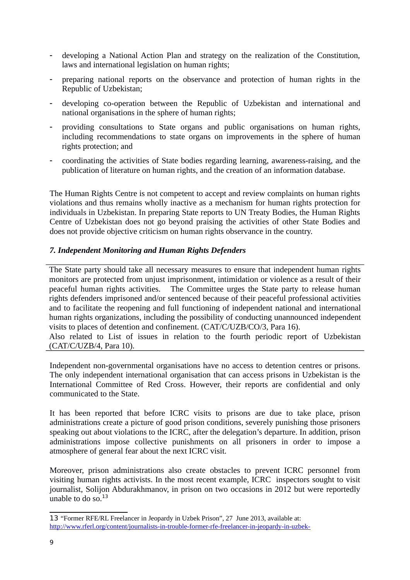- developing a National Action Plan and strategy on the realization of the Constitution, laws and international legislation on human rights;
- preparing national reports on the observance and protection of human rights in the Republic of Uzbekistan;
- developing co-operation between the Republic of Uzbekistan and international and national organisations in the sphere of human rights;
- providing consultations to State organs and public organisations on human rights, including recommendations to state organs on improvements in the sphere of human rights protection; and
- coordinating the activities of State bodies regarding learning, awareness-raising, and the publication of literature on human rights, and the creation of an information database.

The Human Rights Centre is not competent to accept and review complaints on human rights violations and thus remains wholly inactive as a mechanism for human rights protection for individuals in Uzbekistan. In preparing State reports to UN Treaty Bodies, the Human Rights Centre of Uzbekistan does not go beyond praising the activities of other State Bodies and does not provide objective criticism on human rights observance in the country.

#### *7. Independent Monitoring and Human Rights Defenders*

The State party should take all necessary measures to ensure that independent human rights monitors are protected from unjust imprisonment, intimidation or violence as a result of their peaceful human rights activities. The Committee urges the State party to release human rights defenders imprisoned and/or sentenced because of their peaceful professional activities and to facilitate the reopening and full functioning of independent national and international human rights organizations, including the possibility of conducting unannounced independent visits to places of detention and confinement. (CAT/C/UZB/CO/3, Para 16).

Also related to List of issues in relation to the fourth periodic report of Uzbekistan (CAT/C/UZB/4, Para 10).

Independent non-governmental organisations have no access to detention centres or prisons. The only independent international organisation that can access prisons in Uzbekistan is the International Committee of Red Cross. However, their reports are confidential and only communicated to the State.

It has been reported that before ICRC visits to prisons are due to take place, prison administrations create a picture of good prison conditions, severely punishing those prisoners speaking out about violations to the ICRC, after the delegation's departure. In addition, prison administrations impose collective punishments on all prisoners in order to impose a atmosphere of general fear about the next ICRC visit.

Moreover, prison administrations also create obstacles to prevent ICRC personnel from visiting human rights activists. In the most recent example, ICRC inspectors sought to visit journalist, Solijon Abdurakhmanov, in prison on two occasions in 2012 but were reportedly unable to do so. $13$ 

<span id="page-8-0"></span><sup>13</sup> "Former RFE/RL Freelancer in Jeopardy in Uzbek Prison", 27 June 2013, available at: [http://www.rferl.org/content/journalists-in-trouble-former-rfe-freelancer-in-jeopardy-in-uzbek-](http://www.rferl.org/content/journalists-in-trouble-former-rfe-freelancer-in-jeopardy-in-uzbek-prison/25029524.html)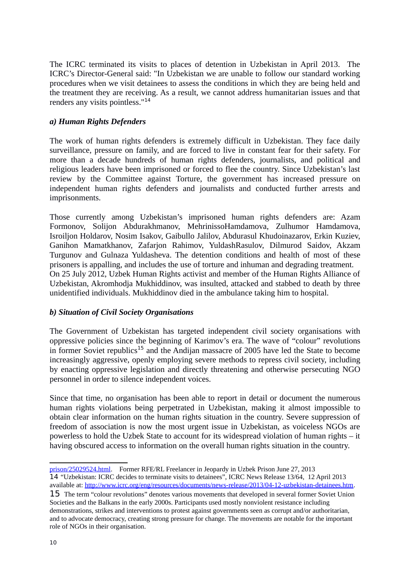The ICRC terminated its visits to places of detention in Uzbekistan in April 2013. The ICRC's Director-General said: "In Uzbekistan we are unable to follow our standard working procedures when we visit detainees to assess the conditions in which they are being held and the treatment they are receiving. As a result, we cannot address humanitarian issues and that renders any visits pointless."[14](#page-9-0)

# *a) Human Rights Defenders*

The work of human rights defenders is extremely difficult in Uzbekistan. They face daily surveillance, pressure on family, and are forced to live in constant fear for their safety. For more than a decade hundreds of human rights defenders, journalists, and political and religious leaders have been imprisoned or forced to flee the country. Since Uzbekistan's last review by the Committee against Torture, the government has increased pressure on independent human rights defenders and journalists and conducted further arrests and imprisonments.

Those currently among Uzbekistan's imprisoned human rights defenders are: Azam Formonov, Solijon Abdurakhmanov, MehrinissoHamdamova, Zulhumor Hamdamova, Isroiljon Holdarov, Nosim Isakov, Gaibullo Jalilov, Abdurasul Khudoinazarov, Erkin Kuziev, Ganihon Mamatkhanov, Zafarjon Rahimov, YuldashRasulov, Dilmurod Saidov, Akzam Turgunov and Gulnaza Yuldasheva. The detention conditions and health of most of these prisoners is appalling, and includes the use of torture and inhuman and degrading treatment. On 25 July 2012, Uzbek Human Rights activist and member of the Human Rights Alliance of Uzbekistan, Akromhodja Mukhiddinov, was insulted, attacked and stabbed to death by three unidentified individuals. Mukhiddinov died in the ambulance taking him to hospital.

## *b) Situation of Civil Society Organisations*

The Government of Uzbekistan has targeted independent civil society organisations with oppressive policies since the beginning of Karimov's era. The wave of "colour" revolutions in former Soviet republics<sup>[15](#page-9-1)</sup> and the Andijan massacre of 2005 have led the State to become increasingly aggressive, openly employing severe methods to repress civil society, including by enacting oppressive legislation and directly threatening and otherwise persecuting NGO personnel in order to silence independent voices.

Since that time, no organisation has been able to report in detail or document the numerous human rights violations being perpetrated in Uzbekistan, making it almost impossible to obtain clear information on the human rights situation in the country. Severe suppression of freedom of association is now the most urgent issue in Uzbekistan, as voiceless NGOs are powerless to hold the Uzbek State to account for its widespread violation of human rights – it having obscured access to information on the overall human rights situation in the country.

<span id="page-9-0"></span>[prison/25029524.html.](http://www.rferl.org/content/journalists-in-trouble-former-rfe-freelancer-in-jeopardy-in-uzbek-prison/25029524.html) Former RFE/RL Freelancer in Jeopardy in Uzbek Prison June 27, 2013 14 "Uzbekistan: ICRC decides to terminate visits to detainees", ICRC News Release 13/64, 12 April 2013

available at: [http://www.icrc.org/eng/resources/documents/news-release/2013/04-12-uzbekistan-detainees.htm.](http://www.icrc.org/eng/resources/documents/news-release/2013/04-12-uzbekistan-detainees.htm) 15 The term "colour revolutions" denotes various movements that developed in several former Soviet Union

<span id="page-9-1"></span>Societies and the Balkans in the early 2000s. Participants used mostly nonviolent resistance including demonstrations, strikes and interventions to protest against governments seen as corrupt and/or authoritarian, and to advocate democracy, creating strong pressure for change. The movements are notable for the important role of NGOs in their organisation.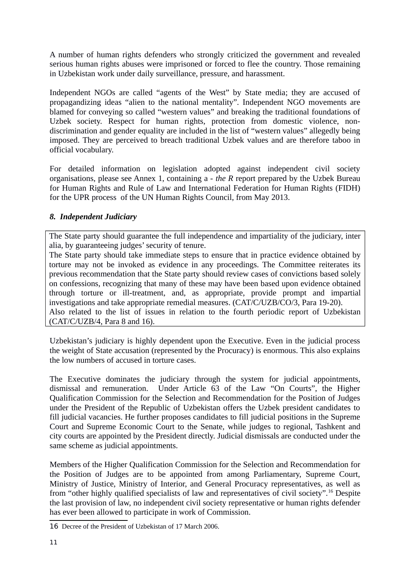A number of human rights defenders who strongly criticized the government and revealed serious human rights abuses were imprisoned or forced to flee the country. Those remaining in Uzbekistan work under daily surveillance, pressure, and harassment.

Independent NGOs are called "agents of the West" by State media; they are accused of propagandizing ideas "alien to the national mentality". Independent NGO movements are blamed for conveying so called "western values" and breaking the traditional foundations of Uzbek society. Respect for human rights, protection from domestic violence, nondiscrimination and gender equality are included in the list of "western values" allegedly being imposed. They are perceived to breach traditional Uzbek values and are therefore taboo in official vocabulary.

For detailed information on legislation adopted against independent civil society organisations, please see Annex 1, containing a - *the R* report prepared by the Uzbek Bureau for Human Rights and Rule of Law and International Federation for Human Rights (FIDH) for the UPR process of the UN Human Rights Council, from May 2013*.*

# *8. Independent Judiciary*

The State party should guarantee the full independence and impartiality of the judiciary, inter alia, by guaranteeing judges' security of tenure.

The State party should take immediate steps to ensure that in practice evidence obtained by torture may not be invoked as evidence in any proceedings. The Committee reiterates its previous recommendation that the State party should review cases of convictions based solely on confessions, recognizing that many of these may have been based upon evidence obtained through torture or ill-treatment, and, as appropriate, provide prompt and impartial investigations and take appropriate remedial measures. (CAT/C/UZB/CO/3, Para 19-20). Also related to the list of issues in relation to the fourth periodic report of Uzbekistan (CAT/C/UZB/4, Para 8 and 16).

Uzbekistan's judiciary is highly dependent upon the Executive. Even in the judicial process the weight of State accusation (represented by the Procuracy) is enormous. This also explains the low numbers of accused in torture cases.

The Executive dominates the judiciary through the system for judicial appointments, dismissal and remuneration. Under Article 63 of the Law "On Courts", the Higher Qualification Commission for the Selection and Recommendation for the Position of Judges under the President of the Republic of Uzbekistan offers the Uzbek president candidates to fill judicial vacancies. He further proposes candidates to fill judicial positions in the Supreme Court and Supreme Economic Court to the Senate, while judges to regional, Tashkent and city courts are appointed by the President directly. Judicial dismissals are conducted under the same scheme as judicial appointments.

Members of the Higher Qualification Commission for the Selection and Recommendation for the Position of Judges are to be appointed from among Parliamentary, Supreme Court, Ministry of Justice, Ministry of Interior, and General Procuracy representatives, as well as from "other highly qualified specialists of law and representatives of civil society".[16](#page-10-0) Despite the last provision of law, no independent civil society representative or human rights defender has ever been allowed to participate in work of Commission.

<span id="page-10-0"></span><sup>16</sup> Decree of the President of Uzbekistan of 17 March 2006.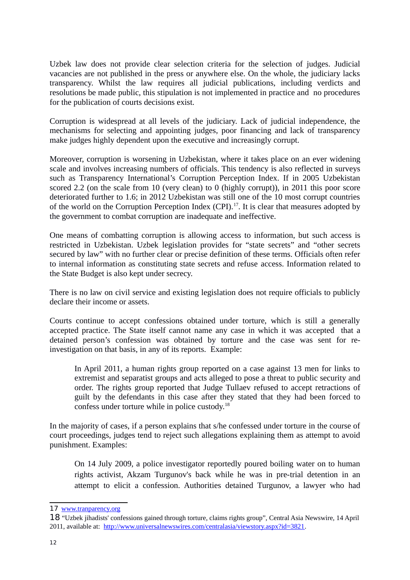Uzbek law does not provide clear selection criteria for the selection of judges. Judicial vacancies are not published in the press or anywhere else. On the whole, the judiciary lacks transparency. Whilst the law requires all judicial publications, including verdicts and resolutions be made public, this stipulation is not implemented in practice and no procedures for the publication of courts decisions exist.

Corruption is widespread at all levels of the judiciary. Lack of judicial independence, the mechanisms for selecting and appointing judges, poor financing and lack of transparency make judges highly dependent upon the executive and increasingly corrupt.

Moreover, corruption is worsening in Uzbekistan, where it takes place on an ever widening scale and involves increasing numbers of officials. This tendency is also reflected in surveys such as Transparency International's Corruption Perception Index. If in 2005 Uzbekistan scored 2.2 (on the scale from 10 (very clean) to 0 (highly corrupt)), in 2011 this poor score deteriorated further to 1.6; in 2012 Uzbekistan was still one of the 10 most corrupt countries of the world on the Corruption Perception Index  $(CPI)$ .<sup>[17](#page-11-0)</sup>. It is clear that measures adopted by the government to combat corruption are inadequate and ineffective.

One means of combatting corruption is allowing access to information, but such access is restricted in Uzbekistan. Uzbek legislation provides for "state secrets" and "other secrets secured by law" with no further clear or precise definition of these terms. Officials often refer to internal information as constituting state secrets and refuse access. Information related to the State Budget is also kept under secrecy.

There is no law on civil service and existing legislation does not require officials to publicly declare their income or assets.

Courts continue to accept confessions obtained under torture, which is still a generally accepted practice. The State itself cannot name any case in which it was accepted that a detained person's confession was obtained by torture and the case was sent for reinvestigation on that basis, in any of its reports. Example:

In April 2011, a human rights group reported on a case against 13 men for links to extremist and separatist groups and acts alleged to pose a threat to public security and order. The rights group reported that Judge Tullaev refused to accept retractions of guilt by the defendants in this case after they stated that they had been forced to confess under torture while in police custody.[18](#page-11-1)

In the majority of cases, if a person explains that s/he confessed under torture in the course of court proceedings, judges tend to reject such allegations explaining them as attempt to avoid punishment. Examples:

On 14 July 2009, a police investigator reportedly poured boiling water on to human rights activist, Akzam Turgunov's back while he was in pre-trial detention in an attempt to elicit a confession. Authorities detained Turgunov, a lawyer who had

<span id="page-11-0"></span><sup>17</sup> [www.tranparency.org](http://www.tranperancy.org/)

<span id="page-11-1"></span><sup>18</sup> "Uzbek jihadists' confessions gained through torture, claims rights group", Central Asia Newswire, 14 April 2011, available at: [http://www.universalnewswires.com/centralasia/viewstory.aspx?id=3821.](http://www.universalnewswires.com/centralasia/viewstory.aspx?id=3821)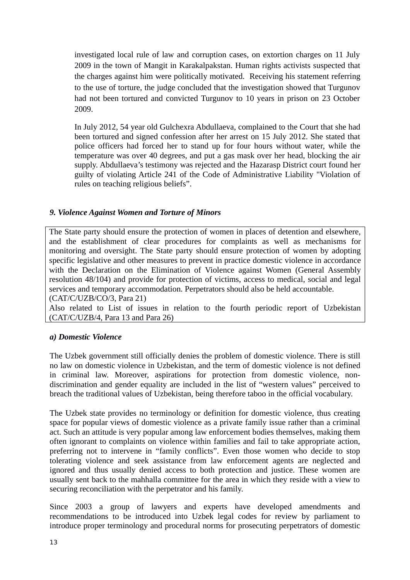investigated local rule of law and corruption cases, on extortion charges on 11 July 2009 in the town of Mangit in Karakalpakstan. Human rights activists suspected that the charges against him were politically motivated. Receiving his statement referring to the use of torture, the judge concluded that the investigation showed that Turgunov had not been tortured and convicted Turgunov to 10 years in prison on 23 October 2009.

In July 2012, 54 year old Gulchexra Abdullaeva, complained to the Court that she had been tortured and signed confession after her arrest on 15 July 2012. She stated that police officers had forced her to stand up for four hours without water, while the temperature was over 40 degrees, and put a gas mask over her head, blocking the air supply. Abdullaeva's testimony was rejected and the Hazarasp District court found her guilty of violating Article 241 of the Code of Administrative Liability "Violation of rules on teaching religious beliefs".

## *9. Violence Against Women and Torture of Minors*

The State party should ensure the protection of women in places of detention and elsewhere, and the establishment of clear procedures for complaints as well as mechanisms for monitoring and oversight. The State party should ensure protection of women by adopting specific legislative and other measures to prevent in practice domestic violence in accordance with the Declaration on the Elimination of Violence against Women (General Assembly resolution 48/104) and provide for protection of victims, access to medical, social and legal services and temporary accommodation. Perpetrators should also be held accountable. (CAT/C/UZB/CO/3, Para 21)

Also related to List of issues in relation to the fourth periodic report of Uzbekistan (CAT/C/UZB/4, Para 13 and Para 26)

#### *a) Domestic Violence*

The Uzbek government still officially denies the problem of domestic violence. There is still no law on domestic violence in Uzbekistan, and the term of domestic violence is not defined in criminal law. Moreover, aspirations for protection from domestic violence, nondiscrimination and gender equality are included in the list of "western values" perceived to breach the traditional values of Uzbekistan, being therefore taboo in the official vocabulary.

The Uzbek state provides no terminology or definition for domestic violence, thus creating space for popular views of domestic violence as a private family issue rather than a criminal act. Such an attitude is very popular among law enforcement bodies themselves, making them often ignorant to complaints on violence within families and fail to take appropriate action, preferring not to intervene in "family conflicts". Even those women who decide to stop tolerating violence and seek assistance from law enforcement agents are neglected and ignored and thus usually denied access to both protection and justice. These women are usually sent back to the mahhalla committee for the area in which they reside with a view to securing reconciliation with the perpetrator and his family.

Since 2003 a group of lawyers and experts have developed amendments and recommendations to be introduced into Uzbek legal codes for review by parliament to introduce proper terminology and procedural norms for prosecuting perpetrators of domestic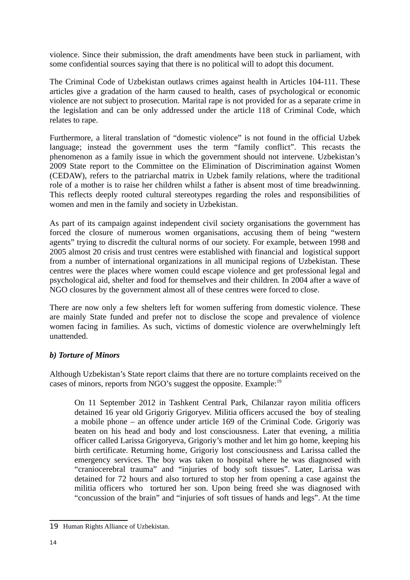violence. Since their submission, the draft amendments have been stuck in parliament, with some confidential sources saying that there is no political will to adopt this document.

The Criminal Code of Uzbekistan outlaws crimes against health in Articles 104-111. These articles give a gradation of the harm caused to health, cases of psychological or economic violence are not subject to prosecution. Marital rape is not provided for as a separate crime in the legislation and can be only addressed under the article 118 of Criminal Code, which relates to rape.

Furthermore, a literal translation of "domestic violence" is not found in the official Uzbek language; instead the government uses the term "family conflict". This recasts the phenomenon as a family issue in which the government should not intervene. Uzbekistan's 2009 State report to the Committee on the Elimination of Discrimination against Women (CEDAW), refers to the patriarchal matrix in Uzbek family relations, where the traditional role of a mother is to raise her children whilst a father is absent most of time breadwinning. This reflects deeply rooted cultural stereotypes regarding the roles and responsibilities of women and men in the family and society in Uzbekistan.

As part of its campaign against independent civil society organisations the government has forced the closure of numerous women organisations, accusing them of being "western agents" trying to discredit the cultural norms of our society. For example, between 1998 and 2005 almost 20 crisis and trust centres were established with financial and logistical support from a number of international organizations in all municipal regions of Uzbekistan. These centres were the places where women could escape violence and get professional legal and psychological aid, shelter and food for themselves and their children. In 2004 after a wave of NGO closures by the government almost all of these centres were forced to close.

There are now only a few shelters left for women suffering from domestic violence. These are mainly State funded and prefer not to disclose the scope and prevalence of violence women facing in families. As such, victims of domestic violence are overwhelmingly left unattended.

## *b) Torture of Minors*

Although Uzbekistan's State report claims that there are no torture complaints received on the cases of minors, reports from NGO's suggest the opposite. Example:<sup>[19](#page-13-0)</sup>

On 11 September 2012 in Tashkent Central Park, Chilanzar rayon militia officers detained 16 year old Grigoriy Grigoryev. Militia officers accused the boy of stealing a mobile phone – an offence under article 169 of the Criminal Code. Grigoriy was beaten on his head and body and lost consciousness. Later that evening, a militia officer called Larissa Grigoryeva, Grigoriy's mother and let him go home, keeping his birth certificate. Returning home, Grigoriy lost consciousness and Larissa called the emergency services. The boy was taken to hospital where he was diagnosed with "craniocerebral trauma" and "injuries of body soft tissues". Later, Larissa was detained for 72 hours and also tortured to stop her from opening a case against the militia officers who tortured her son. Upon being freed she was diagnosed with "concussion of the brain" and "injuries of soft tissues of hands and legs". At the time

<span id="page-13-0"></span><sup>19</sup> Human Rights Alliance of Uzbekistan.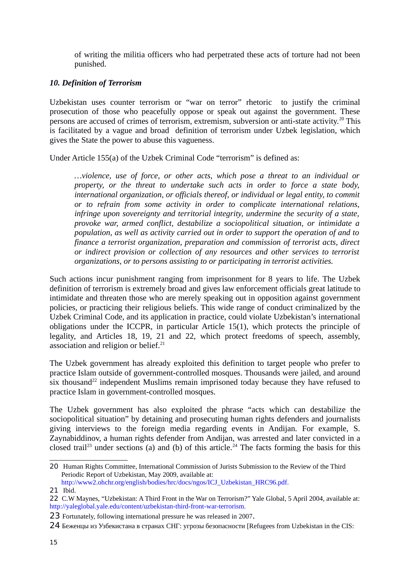of writing the militia officers who had perpetrated these acts of torture had not been punished.

## *10. Definition of Terrorism*

Uzbekistan uses counter terrorism or "war on terror" rhetoric to justify the criminal prosecution of those who peacefully oppose or speak out against the government. These persons are accused of crimes of terrorism, extremism, subversion or anti-state activity.<sup>[20](#page-14-0)</sup> This is facilitated by a vague and broad definition of terrorism under Uzbek legislation, which gives the State the power to abuse this vagueness.

Under Article 155(a) of the Uzbek Criminal Code "terrorism" is defined as:

*…violence, use of force, or other acts, which pose a threat to an individual or property, or the threat to undertake such acts in order to force a state body, international organization, or officials thereof, or individual or legal entity, to commit or to refrain from some activity in order to complicate international relations, infringe upon sovereignty and territorial integrity, undermine the security of a state, provoke war, armed conflict, destabilize a sociopolitical situation, or intimidate a population, as well as activity carried out in order to support the operation of and to finance a terrorist organization, preparation and commission of terrorist acts, direct or indirect provision or collection of any resources and other services to terrorist organizations, or to persons assisting to or participating in terrorist activities.*

Such actions incur punishment ranging from imprisonment for 8 years to life. The Uzbek definition of terrorism is extremely broad and gives law enforcement officials great latitude to intimidate and threaten those who are merely speaking out in opposition against government policies, or practicing their religious beliefs. This wide range of conduct criminalized by the Uzbek Criminal Code, and its application in practice, could violate Uzbekistan's international obligations under the ICCPR, in particular Article 15(1), which protects the principle of legality, and Articles 18, 19, 21 and 22, which protect freedoms of speech, assembly, association and religion or belief. $21$ 

The Uzbek government has already exploited this definition to target people who prefer to practice Islam outside of government-controlled mosques. Thousands were jailed, and around six thousand<sup>[22](#page-14-2)</sup> independent Muslims remain imprisoned today because they have refused to practice Islam in government-controlled mosques.

The Uzbek government has also exploited the phrase "acts which can destabilize the sociopolitical situation" by detaining and prosecuting human rights defenders and journalists giving interviews to the foreign media regarding events in Andijan. For example, S. Zaynabiddinov, a human rights defender from Andijan, was arrested and later convicted in a closed trail<sup>[23](#page-14-3)</sup> under sections (a) and (b) of this article.<sup>[24](#page-14-4)</sup> The facts forming the basis for this

<span id="page-14-0"></span><sup>20</sup> Human Rights Committee, International Commission of Jurists Submission to the Review of the Third Periodic Report of Uzbekistan, May 2009, available at:

http://www2.ohchr.org/english/bodies/hrc/docs/ngos/ICJ\_Uzbekistan\_HRC96.pdf.

<span id="page-14-1"></span><sup>21</sup> Ibid.

<span id="page-14-2"></span><sup>22</sup> C.W Maynes, "Uzbekistan: A Third Front in the War on Terrorism?" Yale Global, 5 April 2004, available at: http://yaleglobal.yale.edu/content/uzbekistan-third-front-war-terrorism.

<span id="page-14-3"></span><sup>23</sup> Fortunately, following international pressure he was released in 2007.

<span id="page-14-4"></span><sup>24</sup> Беженцы из Узбекистана в странах СНГ: угрозы безопасности [Refugees from Uzbekistan in the CIS: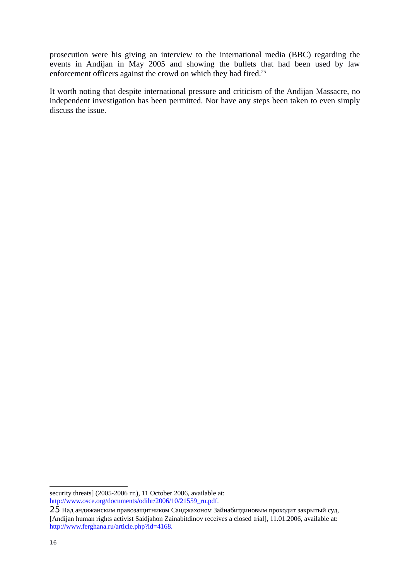prosecution were his giving an interview to the international media (BBC) regarding the events in Andijan in May 2005 and showing the bullets that had been used by law enforcement officers against the crowd on which they had fired.<sup>[25](#page-15-0)</sup>

It worth noting that despite international pressure and criticism of the Andijan Massacre, no independent investigation has been permitted. Nor have any steps been taken to even simply discuss the issue.

security threats] (2005-2006 гг.), 11 October 2006, available at: http://www.osce.org/documents/odihr/2006/10/21559\_ru.pdf.

<span id="page-15-0"></span><sup>25</sup> Над андижанским правозащитником Саиджахоном Зайнабитдиновым проходит закрытый суд, [Andijan human rights activist Saidjahon Zainabitdinov receives a closed trial], 11.01.2006, available at: http://www.ferghana.ru/article.php?id=4168.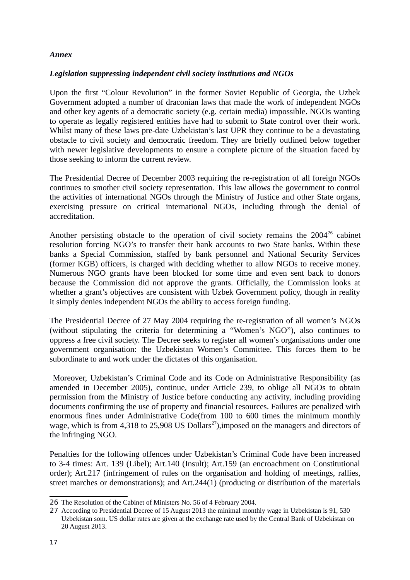## *Annex*

#### *Legislation suppressing independent civil society institutions and NGOs*

Upon the first "Colour Revolution" in the former Soviet Republic of Georgia, the Uzbek Government adopted a number of draconian laws that made the work of independent NGOs and other key agents of a democratic society (e.g. certain media) impossible. NGOs wanting to operate as legally registered entities have had to submit to State control over their work. Whilst many of these laws pre-date Uzbekistan's last UPR they continue to be a devastating obstacle to civil society and democratic freedom. They are briefly outlined below together with newer legislative developments to ensure a complete picture of the situation faced by those seeking to inform the current review.

The Presidential Decree of December 2003 requiring the re-registration of all foreign NGOs continues to smother civil society representation. This law allows the government to control the activities of international NGOs through the Ministry of Justice and other State organs, exercising pressure on critical international NGOs, including through the denial of accreditation.

Another persisting obstacle to the operation of civil society remains the  $2004^{26}$  $2004^{26}$  $2004^{26}$  cabinet resolution forcing NGO's to transfer their bank accounts to two State banks. Within these banks a Special Commission, staffed by bank personnel and National Security Services (former KGB) officers, is charged with deciding whether to allow NGOs to receive money. Numerous NGO grants have been blocked for some time and even sent back to donors because the Commission did not approve the grants. Officially, the Commission looks at whether a grant's objectives are consistent with Uzbek Government policy, though in reality it simply denies independent NGOs the ability to access foreign funding.

The Presidential Decree of 27 May 2004 requiring the re-registration of all women's NGOs (without stipulating the criteria for determining a "Women's NGO"), also continues to oppress a free civil society. The Decree seeks to register all women's organisations under one government organisation: the Uzbekistan Women's Committee. This forces them to be subordinate to and work under the dictates of this organisation.

Moreover, Uzbekistan's Criminal Code and its Code on Administrative Responsibility (as amended in December 2005), continue, under Article 239, to oblige all NGOs to obtain permission from the Ministry of Justice before conducting any activity, including providing documents confirming the use of property and financial resources. Failures are penalized with enormous fines under Administrative Code(from 100 to 600 times the minimum monthly wage, which is from 4,318 to 25,908 US Dollars<sup>[27](#page-16-1)</sup>), imposed on the managers and directors of the infringing NGO.

Penalties for the following offences under Uzbekistan's Criminal Code have been increased to 3-4 times: Art. 139 (Libel); Art.140 (Insult); Art.159 (an encroachment on Constitutional order); Art.217 (infringement of rules on the organisation and holding of meetings, rallies, street marches or demonstrations); and Art.244(1) (producing or distribution of the materials

<span id="page-16-0"></span><sup>26</sup> The Resolution of the Cabinet of Ministers No. 56 of 4 February 2004.

<span id="page-16-1"></span><sup>27</sup> According to Presidential Decree of 15 August 2013 the minimal monthly wage in Uzbekistan is 91, 530 Uzbekistan som. US dollar rates are given at the exchange rate used by the Central Bank of Uzbekistan on 20 August 2013.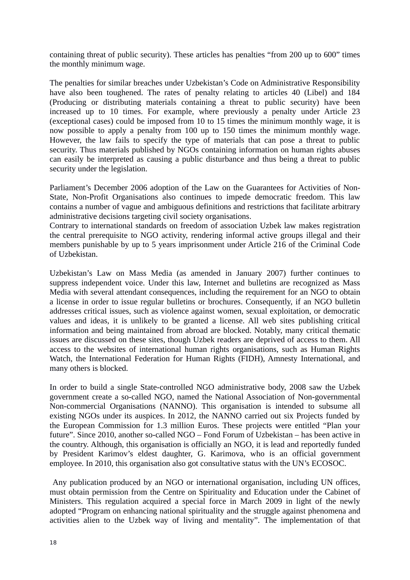containing threat of public security). These articles has penalties "from 200 up to 600" times the monthly minimum wage.

The penalties for similar breaches under Uzbekistan's Code on Administrative Responsibility have also been toughened. The rates of penalty relating to articles 40 (Libel) and 184 (Producing or distributing materials containing a threat to public security) have been increased up to 10 times. For example, where previously a penalty under Article 23 (exceptional cases) could be imposed from 10 to 15 times the minimum monthly wage, it is now possible to apply a penalty from 100 up to 150 times the minimum monthly wage. However, the law fails to specify the type of materials that can pose a threat to public security. Thus materials published by NGOs containing information on human rights abuses can easily be interpreted as causing a public disturbance and thus being a threat to public security under the legislation.

Parliament's December 2006 adoption of the Law on the Guarantees for Activities of Non-State, Non-Profit Organisations also continues to impede democratic freedom. This law contains a number of vague and ambiguous definitions and restrictions that facilitate arbitrary administrative decisions targeting civil society organisations.

Contrary to international standards on freedom of association Uzbek law makes registration the central prerequisite to NGO activity, rendering informal active groups illegal and their members punishable by up to 5 years imprisonment under Article 216 of the Criminal Code of Uzbekistan.

Uzbekistan's Law on Mass Media (as amended in January 2007) further continues to suppress independent voice. Under this law, Internet and bulletins are recognized as Mass Media with several attendant consequences, including the requirement for an NGO to obtain a license in order to issue regular bulletins or brochures. Consequently, if an NGO bulletin addresses critical issues, such as violence against women, sexual exploitation, or democratic values and ideas, it is unlikely to be granted a license. All web sites publishing critical information and being maintained from abroad are blocked. Notably, many critical thematic issues are discussed on these sites, though Uzbek readers are deprived of access to them. All access to the websites of international human rights organisations, such as Human Rights Watch, the International Federation for Human Rights (FIDH), Amnesty International, and many others is blocked.

In order to build a single State-controlled NGO administrative body, 2008 saw the Uzbek government create a so-called NGO, named the National Association of Non-governmental Non-commercial Organisations (NANNO). This organisation is intended to subsume all existing NGOs under its auspices. In 2012, the NANNO carried out six Projects funded by the European Commission for 1.3 million Euros. These projects were entitled "Plan your future". Since 2010, another so-called NGO – Fond Forum of Uzbekistan – has been active in the country. Although, this organisation is officially an NGO, it is lead and reportedly funded by President Karimov's eldest daughter, G. Karimova, who is an official government employee. In 2010, this organisation also got consultative status with the UN's ECOSOC.

Any publication produced by an NGO or international organisation, including UN offices, must obtain permission from the Centre on Spirituality and Education under the Cabinet of Ministers. This regulation acquired a special force in March 2009 in light of the newly adopted "Program on enhancing national spirituality and the struggle against phenomena and activities alien to the Uzbek way of living and mentality". The implementation of that